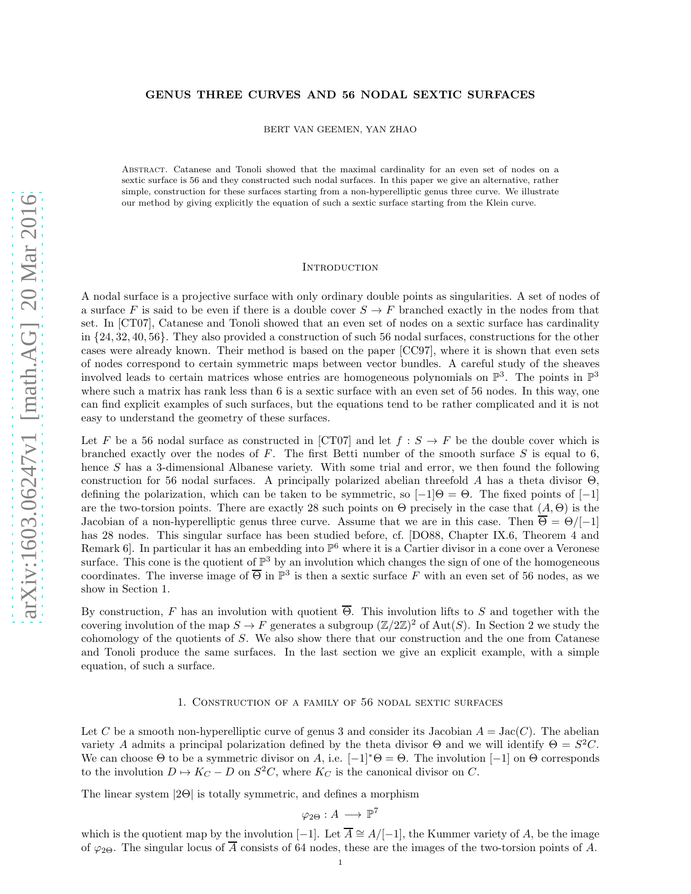## GENUS THREE CURVES AND 56 NODAL SEXTIC SURFACES

BERT VAN GEEMEN, YAN ZHAO

Abstract. Catanese and Tonoli showed that the maximal cardinality for an even set of nodes on a sextic surface is 56 and they constructed such nodal surfaces. In this paper we give an alternative, rather simple, construction for these surfaces starting from a non-hyperelliptic genus three curve. We illustrate our method by giving explicitly the equation of such a sextic surface starting from the Klein curve.

### **INTRODUCTION**

A nodal surface is a projective surface with only ordinary double points as singularities. A set of nodes of a surface F is said to be even if there is a double cover  $S \to F$  branched exactly in the nodes from that set. In [CT07], Catanese and Tonoli showed that an even set of nodes on a sextic surface has cardinality in {24, 32, 40, 56}. They also provided a construction of such 56 nodal surfaces, constructions for the other cases were already known. Their method is based on the paper [CC97], where it is shown that even sets of nodes correspond to certain symmetric maps between vector bundles. A careful study of the sheaves involved leads to certain matrices whose entries are homogeneous polynomials on  $\mathbb{P}^3$ . The points in  $\mathbb{P}^3$ where such a matrix has rank less than 6 is a sextic surface with an even set of 56 nodes. In this way, one can find explicit examples of such surfaces, but the equations tend to be rather complicated and it is not easy to understand the geometry of these surfaces.

Let F be a 56 nodal surface as constructed in [CT07] and let  $f : S \to F$  be the double cover which is branched exactly over the nodes of  $F$ . The first Betti number of the smooth surface  $S$  is equal to 6, hence S has a 3-dimensional Albanese variety. With some trial and error, we then found the following construction for 56 nodal surfaces. A principally polarized abelian threefold A has a theta divisor  $\Theta$ , defining the polarization, which can be taken to be symmetric, so  $[-1]$ Θ = Θ. The fixed points of  $[-1]$ are the two-torsion points. There are exactly 28 such points on  $\Theta$  precisely in the case that  $(A, \Theta)$  is the Jacobian of a non-hyperelliptic genus three curve. Assume that we are in this case. Then  $\overline{\Theta} = \Theta / [-1]$ has 28 nodes. This singular surface has been studied before, cf. [DO88, Chapter IX.6, Theorem 4 and Remark 6]. In particular it has an embedding into  $\mathbb{P}^6$  where it is a Cartier divisor in a cone over a Veronese surface. This cone is the quotient of  $\mathbb{P}^3$  by an involution which changes the sign of one of the homogeneous coordinates. The inverse image of  $\overline{\Theta}$  in  $\mathbb{P}^3$  is then a sextic surface F with an even set of 56 nodes, as we show in Section 1.

By construction, F has an involution with quotient  $\overline{\Theta}$ . This involution lifts to S and together with the covering involution of the map  $S \to F$  generates a subgroup  $(\mathbb{Z}/2\mathbb{Z})^2$  of Aut $(S)$ . In Section 2 we study the cohomology of the quotients of S. We also show there that our construction and the one from Catanese and Tonoli produce the same surfaces. In the last section we give an explicit example, with a simple equation, of such a surface.

### 1. Construction of a family of 56 nodal sextic surfaces

Let C be a smooth non-hyperelliptic curve of genus 3 and consider its Jacobian  $A = \text{Jac}(C)$ . The abelian variety A admits a principal polarization defined by the theta divisor  $\Theta$  and we will identify  $\Theta = S^2 C$ . We can choose  $\Theta$  to be a symmetric divisor on A, i.e.  $[-1]^* \Theta = \Theta$ . The involution  $[-1]$  on  $\Theta$  corresponds to the involution  $D \mapsto K_C - D$  on  $S^2C$ , where  $K_C$  is the canonical divisor on C.

The linear system |2Θ| is totally symmetric, and defines a morphism

$$
\varphi_{2\Theta}:A\longrightarrow \mathbb{P}^7
$$

which is the quotient map by the involution [−1]. Let  $\overline{A} \cong A/[-1]$ , the Kummer variety of A, be the image of  $\varphi_{2\Theta}$ . The singular locus of  $\overline{A}$  consists of 64 nodes, these are the images of the two-torsion points of A.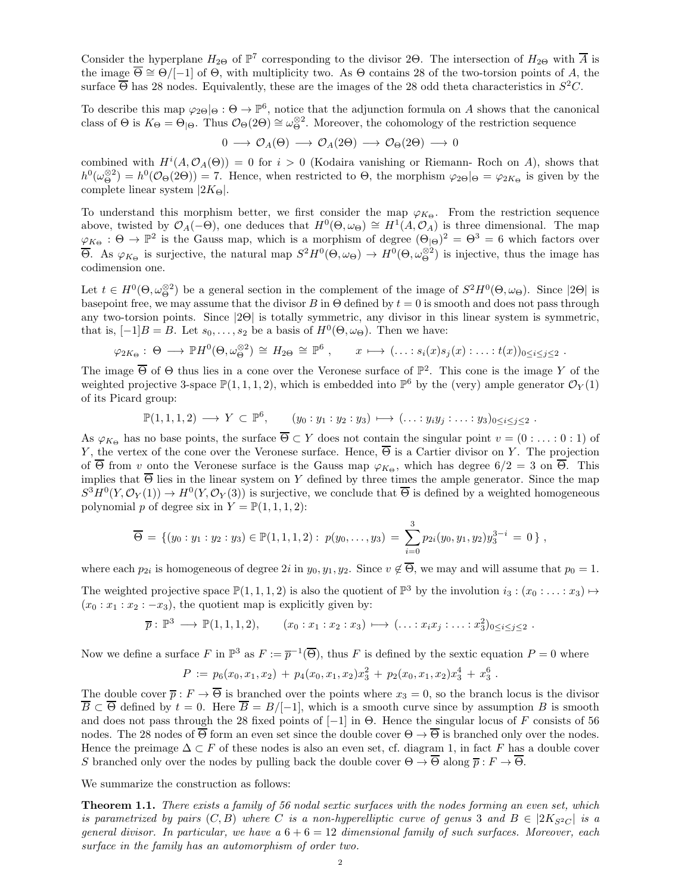Consider the hyperplane  $H_{2\Theta}$  of  $\mathbb{P}^7$  corresponding to the divisor 2Θ. The intersection of  $H_{2\Theta}$  with  $\overline{A}$  is the image  $\overline{\Theta} \cong \Theta / [-1]$  of  $\Theta$ , with multiplicity two. As  $\Theta$  contains 28 of the two-torsion points of A, the surface  $\overline{\Theta}$  has 28 nodes. Equivalently, these are the images of the 28 odd theta characteristics in  $S^2C$ .

To describe this map  $\varphi_{2\Theta} |_{\Theta} : \Theta \to \mathbb{P}^6$ , notice that the adjunction formula on A shows that the canonical class of  $\Theta$  is  $K_{\Theta} = \Theta_{|\Theta}$ . Thus  $\mathcal{O}_{\Theta}(2\Theta) \cong \omega_{\Theta}^{\otimes 2}$ . Moreover, the cohomology of the restriction sequence

$$
0 \longrightarrow \mathcal{O}_A(\Theta) \longrightarrow \mathcal{O}_A(2\Theta) \longrightarrow \mathcal{O}_{\Theta}(2\Theta) \longrightarrow 0
$$

combined with  $H^{i}(A, \mathcal{O}_{A}(\Theta)) = 0$  for  $i > 0$  (Kodaira vanishing or Riemann-Roch on A), shows that  $h^0(\omega_{\Theta}^{\otimes 2}) = h^0(\mathcal{O}_{\Theta}(2\Theta)) = 7$ . Hence, when restricted to  $\Theta$ , the morphism  $\varphi_{2\Theta} |_{\Theta} = \varphi_{2K_{\Theta}}$  is given by the complete linear system  $|2K_{\Theta}|$ .

To understand this morphism better, we first consider the map  $\varphi_{K_{\Theta}}$ . From the restriction sequence above, twisted by  $\mathcal{O}_A(-\Theta)$ , one deduces that  $H^0(\Theta, \omega_{\Theta}) \cong H^1(A, \mathcal{O}_A)$  is three dimensional. The map  $\varphi_{K_{\Theta}} : \Theta \to \mathbb{P}^2$  is the Gauss map, which is a morphism of degree  $(\Theta_{\Theta})^2 = \Theta^3 = 6$  which factors over  $\overline{\Theta}$ . As  $\varphi_{K_{\Theta}}$  is surjective, the natural map  $S^2H^0(\Theta, \omega_{\Theta}) \to H^0(\Theta, \omega_{\Theta}^{\otimes 2})$  is injective, thus the image has codimension one.

Let  $t \in H^0(\Theta, \omega_\Theta^{\otimes 2})$  be a general section in the complement of the image of  $S^2H^0(\Theta, \omega_\Theta)$ . Since  $|2\Theta|$  is basepoint free, we may assume that the divisor B in  $\Theta$  defined by  $t = 0$  is smooth and does not pass through any two-torsion points. Since |2Θ| is totally symmetric, any divisor in this linear system is symmetric, that is,  $[-1]B = B$ . Let  $s_0, \ldots, s_2$  be a basis of  $H^0(\Theta, \omega_{\Theta})$ . Then we have:

$$
\varphi_{2K_{\Theta}}: \Theta \longrightarrow \mathbb{P}H^{0}(\Theta, \omega_{\Theta}^{\otimes 2}) \cong H_{2\Theta} \cong \mathbb{P}^{6} , \qquad x \longmapsto (\ldots : s_{i}(x)s_{j}(x) : \ldots : t(x))_{0 \leq i \leq j \leq 2} .
$$

The image  $\overline{\Theta}$  of  $\Theta$  thus lies in a cone over the Veronese surface of  $\mathbb{P}^2$ . This cone is the image Y of the weighted projective 3-space  $\mathbb{P}(1,1,1,2)$ , which is embedded into  $\mathbb{P}^6$  by the (very) ample generator  $\mathcal{O}_Y(1)$ of its Picard group:

$$
\mathbb{P}(1,1,1,2) \longrightarrow Y \subset \mathbb{P}^6, \qquad (y_0:y_1:y_2:y_3) \longmapsto (\dots:y_iy_j:\dots:y_3)_{0 \leq i \leq j \leq 2}.
$$

As  $\varphi_{K_{\Theta}}$  has no base points, the surface  $\overline{\Theta} \subset Y$  does not contain the singular point  $v = (0 : \ldots : 0 : 1)$  of Y, the vertex of the cone over the Veronese surface. Hence,  $\overline{\Theta}$  is a Cartier divisor on Y. The projection of  $\overline{\Theta}$  from v onto the Veronese surface is the Gauss map  $\varphi_{K_{\Theta}}$ , which has degree  $6/2 = 3$  on  $\overline{\Theta}$ . This implies that  $\overline{\Theta}$  lies in the linear system on Y defined by three times the ample generator. Since the map  $S^3H^0(Y,\mathcal{O}_Y(1)) \to H^0(Y,\mathcal{O}_Y(3))$  is surjective, we conclude that  $\overline{\Theta}$  is defined by a weighted homogeneous polynomial p of degree six in  $Y = \mathbb{P}(1, 1, 1, 2)$ :

$$
\overline{\Theta} = \{ (y_0 : y_1 : y_2 : y_3) \in \mathbb{P}(1,1,1,2) : p(y_0,\ldots,y_3) = \sum_{i=0}^3 p_{2i}(y_0,y_1,y_2)y_3^{3-i} = 0 \},
$$

where each  $p_{2i}$  is homogeneous of degree  $2i$  in  $y_0, y_1, y_2$ . Since  $v \notin \Theta$ , we may and will assume that  $p_0 = 1$ .

The weighted projective space  $\mathbb{P}(1,1,1,2)$  is also the quotient of  $\mathbb{P}^3$  by the involution  $i_3:(x_0:\ldots:x_3)\mapsto$  $(x_0 : x_1 : x_2 : -x_3)$ , the quotient map is explicitly given by:

$$
\overline{p}:\mathbb{P}^3\longrightarrow \mathbb{P}(1,1,1,2), \qquad (x_0:x_1:x_2:x_3)\longmapsto (\ldots:x_ix_j:\ldots:x_3^2)_{0\leq i\leq j\leq 2}.
$$

Now we define a surface F in  $\mathbb{P}^3$  as  $F := \overline{p}^{-1}(\overline{\Theta})$ , thus F is defined by the sextic equation  $P = 0$  where

$$
P := p_6(x_0, x_1, x_2) + p_4(x_0, x_1, x_2)x_3^2 + p_2(x_0, x_1, x_2)x_3^4 + x_3^6.
$$

The double cover  $\overline{p}: F \to \overline{\Theta}$  is branched over the points where  $x_3 = 0$ , so the branch locus is the divisor  $\overline{B} \subset \overline{\Theta}$  defined by  $t = 0$ . Here  $\overline{B} = B/[-1]$ , which is a smooth curve since by assumption B is smooth and does not pass through the 28 fixed points of  $[-1]$  in  $\Theta$ . Hence the singular locus of F consists of 56 nodes. The 28 nodes of  $\overline{\Theta}$  form an even set since the double cover  $\Theta \to \overline{\Theta}$  is branched only over the nodes. Hence the preimage  $\Delta \subset F$  of these nodes is also an even set, cf. diagram 1, in fact F has a double cover S branched only over the nodes by pulling back the double cover  $\Theta \to \overline{\Theta}$  along  $\overline{p}: F \to \overline{\Theta}$ .

We summarize the construction as follows:

Theorem 1.1. *There exists a family of 56 nodal sextic surfaces with the nodes forming an even set, which is parametrized by pairs*  $(C, B)$  *where* C *is a non-hyperelliptic curve of genus* 3 *and*  $B \in |2K_{S^2C}|$  *is a general divisor. In particular, we have a* 6 + 6 = 12 *dimensional family of such surfaces. Moreover, each surface in the family has an automorphism of order two.*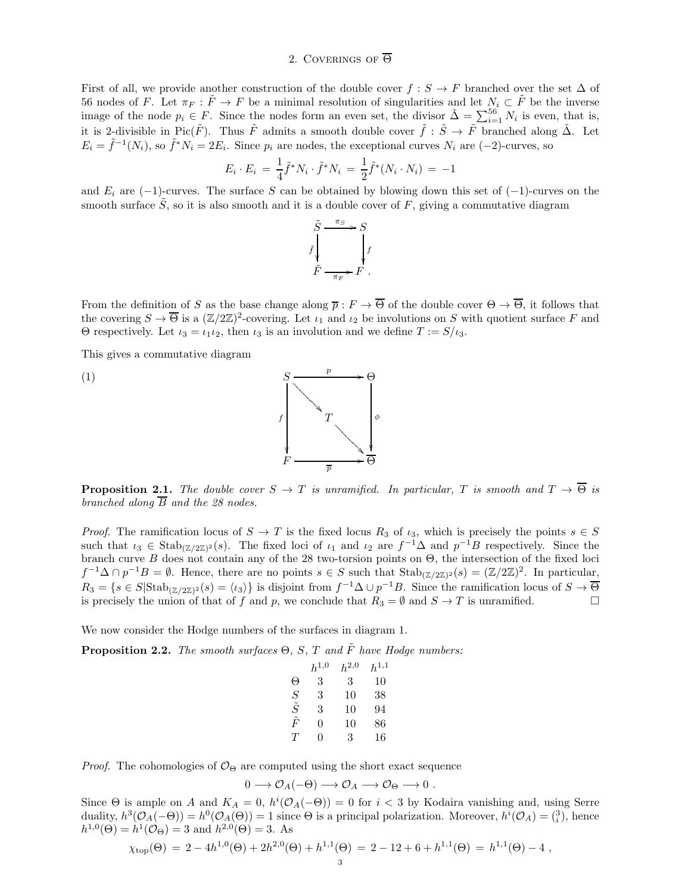# 2. COVERINGS OF  $\overline{\Theta}$

First of all, we provide another construction of the double cover  $f : S \to F$  branched over the set  $\Delta$  of 56 nodes of F. Let  $\pi_F : \tilde{F} \to F$  be a minimal resolution of singularities and let  $N_i \subset \tilde{F}$  be the inverse image of the node  $p_i \in F$ . Since the nodes form an even set, the divisor  $\tilde{\Delta} = \sum_{i=1}^{56} N_i$  is even, that is, it is 2-divisible in Pic( $\tilde{F}$ ). Thus  $\tilde{F}$  admits a smooth double cover  $\tilde{f}$ :  $\tilde{S} \to \tilde{F}$  branched along  $\tilde{\Delta}$ . Let  $E_i = \tilde{f}^{-1}(N_i)$ , so  $\tilde{f}^* N_i = 2E_i$ . Since  $p_i$  are nodes, the exceptional curves  $N_i$  are  $(-2)$ -curves, so

$$
E_i \cdot E_i \ = \ \frac{1}{4} \tilde{f}^* N_i \cdot \tilde{f}^* N_i \ = \ \frac{1}{2} \tilde{f}^* (N_i \cdot N_i) \ = \ -1
$$

and  $E_i$  are (−1)-curves. The surface S can be obtained by blowing down this set of (−1)-curves on the smooth surface  $\tilde{S}$ , so it is also smooth and it is a double cover of F, giving a commutative diagram



From the definition of S as the base change along  $\overline{p}: F \to \overline{\Theta}$  of the double cover  $\Theta \to \overline{\Theta}$ , it follows that the covering  $S \to \overline{\Theta}$  is a  $(\mathbb{Z}/2\mathbb{Z})^2$ -covering. Let  $\iota_1$  and  $\iota_2$  be involutions on S with quotient surface F and Θ respectively. Let  $i_3 = i_1 i_2$ , then  $i_3$  is an involution and we define  $T := S/i_3$ .

This gives a commutative diagram





**Proposition 2.1.** *The double cover*  $S \to T$  *is unramified. In particular,* T *is smooth and*  $T \to \overline{\Theta}$  *is branched along*  $\overline{B}$  *and the 28 nodes.* 

*Proof.* The ramification locus of  $S \to T$  is the fixed locus  $R_3$  of  $\iota_3$ , which is precisely the points  $s \in S$ such that  $\iota_3 \in \text{Stab}_{(\mathbb{Z}/2\mathbb{Z})^2}(s)$ . The fixed loci of  $\iota_1$  and  $\iota_2$  are  $f^{-1}\Delta$  and  $p^{-1}B$  respectively. Since the branch curve B does not contain any of the 28 two-torsion points on Θ, the intersection of the fixed loci  $f^{-1}\Delta \cap p^{-1}B = \emptyset$ . Hence, there are no points  $s \in S$  such that  $\text{Stab}_{(\mathbb{Z}/2\mathbb{Z})^2}(s) = (\mathbb{Z}/2\mathbb{Z})^2$ . In particular,  $R_3 = \{s \in S | \text{Stab}_{(\mathbb{Z}/2\mathbb{Z})^2}(s) = \langle \iota_3 \rangle \}$  is disjoint from  $f^{-1}\Delta \cup p^{-1}B$ . Since the ramification locus of  $S \to \overline{\Theta}$ is precisely the union of that of f and p, we conclude that  $R_3 = \emptyset$  and  $S \to T$  is unramified.

We now consider the Hodge numbers of the surfaces in diagram 1.

**Proposition 2.2.** *The smooth surfaces*  $\Theta$ ,  $S$ ,  $T$  *and*  $\tilde{F}$  *have Hodge numbers:* 

|             | $h^{1,0}$ | $h^{2,0}$ | $h^{1,1}$ |
|-------------|-----------|-----------|-----------|
| Θ           | 3         | 3         | 10        |
| S           | 3         | 10        | 38        |
| $\tilde{S}$ | 3         | 10        | 94        |
| $\tilde{F}$ | 0         | 10        | 86        |
| T           | 0         | 3         | 16        |

*Proof.* The cohomologies of  $\mathcal{O}_{\Theta}$  are computed using the short exact sequence

$$
0 \longrightarrow \mathcal{O}_A(-\Theta) \longrightarrow \mathcal{O}_A \longrightarrow \mathcal{O}_{\Theta} \longrightarrow 0.
$$

Since  $\Theta$  is ample on A and  $K_A = 0$ ,  $h^i(\mathcal{O}_A(-\Theta)) = 0$  for  $i < 3$  by Kodaira vanishing and, using Serre duality,  $h^3(\mathcal{O}_A(-\Theta)) = h^0(\mathcal{O}_A(\Theta)) = 1$  since  $\Theta$  is a principal polarization. Moreover,  $h^i(\mathcal{O}_A) = \binom{3}{i}$ , hence  $h^{1,0}(\Theta) = h^1(\mathcal{O}_{\Theta}) = 3$  and  $h^{2,0}(\Theta) = 3$ . As

$$
\chi_{\text{top}}(\Theta) = 2 - 4h^{1,0}(\Theta) + 2h^{2,0}(\Theta) + h^{1,1}(\Theta) = 2 - 12 + 6 + h^{1,1}(\Theta) = h^{1,1}(\Theta) - 4,
$$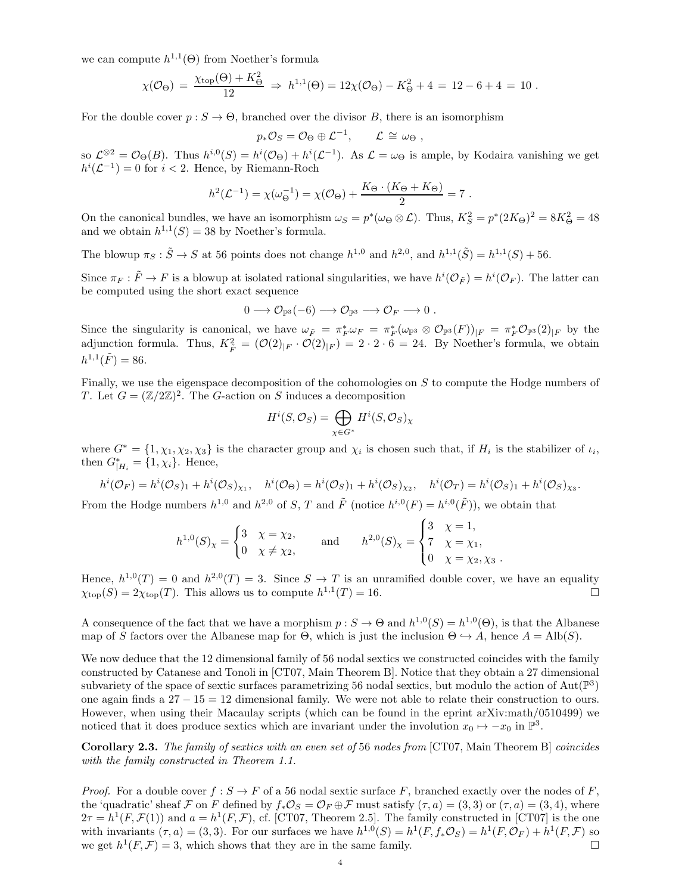we can compute  $h^{1,1}(\Theta)$  from Noether's formula

$$
\chi(\mathcal{O}_{\Theta}) = \frac{\chi_{\text{top}}(\Theta) + K_{\Theta}^2}{12} \Rightarrow h^{1,1}(\Theta) = 12\chi(\mathcal{O}_{\Theta}) - K_{\Theta}^2 + 4 = 12 - 6 + 4 = 10.
$$

For the double cover  $p : S \to \Theta$ , branched over the divisor B, there is an isomorphism

$$
p_*\mathcal{O}_S = \mathcal{O}_{\Theta} \oplus \mathcal{L}^{-1}, \qquad \mathcal{L} \cong \omega_{\Theta},
$$

so  $\mathcal{L}^{\otimes 2} = \mathcal{O}_{\Theta}(B)$ . Thus  $h^{i,0}(S) = h^{i}(\mathcal{O}_{\Theta}) + h^{i}(\mathcal{L}^{-1})$ . As  $\mathcal{L} = \omega_{\Theta}$  is ample, by Kodaira vanishing we get  $h^{i}(\mathcal{L}^{-1})=0$  for  $i < 2$ . Hence, by Riemann-Roch

$$
h^{2}(\mathcal{L}^{-1}) = \chi(\omega_{\Theta}^{-1}) = \chi(\mathcal{O}_{\Theta}) + \frac{K_{\Theta} \cdot (K_{\Theta} + K_{\Theta})}{2} = 7.
$$

On the canonical bundles, we have an isomorphism  $\omega_S = p^*(\omega_\Theta \otimes \mathcal{L})$ . Thus,  $K_S^2 = p^*(2K_\Theta)^2 = 8K_\Theta^2 = 48$ and we obtain  $h^{1,1}(S) = 38$  by Noether's formula.

The blowup  $\pi_S : \tilde{S} \to S$  at 56 points does not change  $h^{1,0}$  and  $h^{2,0}$ , and  $h^{1,1}(\tilde{S}) = h^{1,1}(S) + 56$ .

Since  $\pi_F : \tilde{F} \to F$  is a blowup at isolated rational singularities, we have  $h^i(\mathcal{O}_{\tilde{F}}) = h^i(\mathcal{O}_F)$ . The latter can be computed using the short exact sequence

$$
0 \longrightarrow \mathcal{O}_{\mathbb{P}^3}(-6) \longrightarrow \mathcal{O}_{\mathbb{P}^3} \longrightarrow \mathcal{O}_F \longrightarrow 0.
$$

Since the singularity is canonical, we have  $\omega_{\tilde{F}} = \pi_F^* \omega_F = \pi_F^* (\omega_{\mathbb{P}^3} \otimes \mathcal{O}_{\mathbb{P}^3}(F))_{|F} = \pi_F^* \mathcal{O}_{\mathbb{P}^3}(2)_{|F}$  by the adjunction formula. Thus,  $K_{\tilde{F}}^2 = (\mathcal{O}(2)_{|F} \cdot \mathcal{O}(2)_{|F}) = 2 \cdot 2 \cdot 6 = 24$ . By Noether's formula, we obtain  $h^{1,1}(\tilde{F}) = 86.$ 

Finally, we use the eigenspace decomposition of the cohomologies on S to compute the Hodge numbers of T. Let  $G = (\mathbb{Z}/2\mathbb{Z})^2$ . The G-action on S induces a decomposition

$$
H^i(S, \mathcal{O}_S) = \bigoplus_{\chi \in G^*} H^i(S, \mathcal{O}_S)_{\chi}
$$

where  $G^* = \{1, \chi_1, \chi_2, \chi_3\}$  is the character group and  $\chi_i$  is chosen such that, if  $H_i$  is the stabilizer of  $\iota_i$ , then  $G^*_{|H_i} = \{1, \chi_i\}$ . Hence,

$$
h^i(\mathcal{O}_F) = h^i(\mathcal{O}_S)_1 + h^i(\mathcal{O}_S)_{\chi_1}, \quad h^i(\mathcal{O}_\Theta) = h^i(\mathcal{O}_S)_1 + h^i(\mathcal{O}_S)_{\chi_2}, \quad h^i(\mathcal{O}_T) = h^i(\mathcal{O}_S)_1 + h^i(\mathcal{O}_S)_{\chi_3}.
$$

From the Hodge numbers  $h^{1,0}$  and  $h^{2,0}$  of S, T and  $\tilde{F}$  (notice  $h^{i,0}(F) = h^{i,0}(\tilde{F})$ ), we obtain that

$$
h^{1,0}(S)_{\chi} = \begin{cases} 3 & \chi = \chi_2, \\ 0 & \chi \neq \chi_2, \end{cases} \quad \text{and} \quad h^{2,0}(S)_{\chi} = \begin{cases} 3 & \chi = 1, \\ 7 & \chi = \chi_1, \\ 0 & \chi = \chi_2, \chi_3 \end{cases}
$$

Hence,  $h^{1,0}(T) = 0$  and  $h^{2,0}(T) = 3$ . Since  $S \to T$  is an unramified double cover, we have an equality  $\chi_{\text{top}}(S) = 2\chi_{\text{top}}(T)$ . This allows us to compute  $h^{1,1}(T) = 16$ .

A consequence of the fact that we have a morphism  $p: S \to \Theta$  and  $h^{1,0}(S) = h^{1,0}(\Theta)$ , is that the Albanese map of S factors over the Albanese map for  $\Theta$ , which is just the inclusion  $\Theta \hookrightarrow A$ , hence  $A = \text{Alb}(S)$ .

We now deduce that the 12 dimensional family of 56 nodal sextics we constructed coincides with the family constructed by Catanese and Tonoli in [CT07, Main Theorem B]. Notice that they obtain a 27 dimensional subvariety of the space of sextic surfaces parametrizing 56 nodal sextics, but modulo the action of  $Aut(\mathbb{P}^3)$ one again finds a  $27 - 15 = 12$  dimensional family. We were not able to relate their construction to ours. However, when using their Macaulay scripts (which can be found in the eprint arXiv:math/0510499) we noticed that it does produce sextics which are invariant under the involution  $x_0 \mapsto -x_0$  in  $\mathbb{P}^3$ .

Corollary 2.3. *The family of sextics with an even set of* 56 *nodes from* [CT07, Main Theorem B] *coincides with the family constructed in Theorem 1.1.*

*Proof.* For a double cover  $f : S \to F$  of a 56 nodal sextic surface F, branched exactly over the nodes of F, the 'quadratic' sheaf F on F defined by  $f_*\mathcal{O}_S = \mathcal{O}_F \oplus \mathcal{F}$  must satisfy  $(\tau, a) = (3, 3)$  or  $(\tau, a) = (3, 4)$ , where  $2\tau = h^1(F, \mathcal{F}(1))$  and  $a = h^1(F, \mathcal{F})$ , cf. [CT07, Theorem 2.5]. The family constructed in [CT07] is the one with invariants  $(\tau, a) = (3, 3)$ . For our surfaces we have  $h^{1,0}(S) = h^1(F, f_*\mathcal{O}_S) = h^1(F, \mathcal{O}_F) + h^1(F, \mathcal{F})$  so we get  $h^1(F,\mathcal{F})=3$ , which shows that they are in the same family.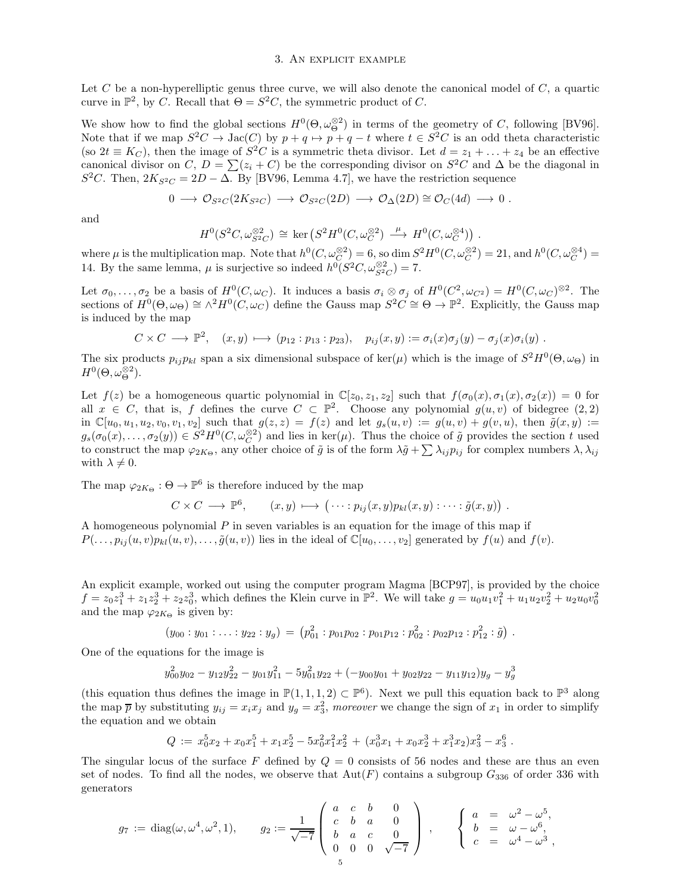## 3. An explicit example

Let C be a non-hyperelliptic genus three curve, we will also denote the canonical model of  $C$ , a quartic curve in  $\mathbb{P}^2$ , by C. Recall that  $\Theta = S^2C$ , the symmetric product of C.

We show how to find the global sections  $H^0(\Theta, \omega_{\Theta}^{\otimes 2})$  in terms of the geometry of C, following [BV96]. Note that if we map  $S^2C \to \text{Jac}(C)$  by  $p + q \to p + q - t$  where  $t \in S^2C$  is an odd theta characteristic (so  $2t \equiv K_C$ ), then the image of  $S^2C$  is a symmetric theta divisor. Let  $d = z_1 + \ldots + z_4$  be an effective canonical divisor on C,  $D = \sum (z_i + C)$  be the corresponding divisor on  $S^2C$  and  $\Delta$  be the diagonal in  $S^2C$ . Then,  $2K_{S^2C} = 2D - \Delta$ . By [BV96, Lemma 4.7], we have the restriction sequence

$$
0 \longrightarrow \mathcal{O}_{S^2C}(2K_{S^2C}) \longrightarrow \mathcal{O}_{S^2C}(2D) \longrightarrow \mathcal{O}_{\Delta}(2D) \cong \mathcal{O}_C(4d) \longrightarrow 0.
$$

and

$$
H^0(S^2C,\omega_{S^2C}^{\otimes 2}) \cong \text{ker}(S^2H^0(C,\omega_C^{\otimes 2}) \xrightarrow{\mu} H^0(C,\omega_C^{\otimes 4}))
$$
.

where  $\mu$  is the multiplication map. Note that  $h^0(C, \omega_C^{\otimes 2}) = 6$ , so dim  $S^2 H^0(C, \omega_C^{\otimes 2}) = 21$ , and  $h^0(C, \omega_C^{\otimes 4}) =$ 14. By the same lemma,  $\mu$  is surjective so indeed  $h^0(S^2C, \omega_{S^2C}^{\otimes 2}) = 7$ .

Let  $\sigma_0, \ldots, \sigma_2$  be a basis of  $H^0(C, \omega_C)$ . It induces a basis  $\sigma_i \otimes \sigma_j$  of  $H^0(C^2, \omega_{C^2}) = H^0(C, \omega_C)^{\otimes 2}$ . The sections of  $H^0(\Theta, \omega_{\Theta}) \cong \wedge^2 H^0(C, \omega_C)$  define the Gauss map  $S^2C \cong \Theta \to \mathbb{P}^2$ . Explicitly, the Gauss map is induced by the map

$$
C \times C \longrightarrow \mathbb{P}^2, \quad (x, y) \longmapsto (p_{12} : p_{13} : p_{23}), \quad p_{ij}(x, y) := \sigma_i(x)\sigma_j(y) - \sigma_j(x)\sigma_i(y) .
$$

The six products  $p_{ij}p_{kl}$  span a six dimensional subspace of ker( $\mu$ ) which is the image of  $S^2H^0(\Theta,\omega_{\Theta})$  in  $H^0(\Theta, \omega_{\Theta}^{\otimes 2}).$ 

Let  $f(z)$  be a homogeneous quartic polynomial in  $\mathbb{C}[z_0, z_1, z_2]$  such that  $f(\sigma_0(x), \sigma_1(x), \sigma_2(x)) = 0$  for all  $x \in C$ , that is, f defines the curve  $C \subset \mathbb{P}^2$ . Choose any polynomial  $g(u, v)$  of bidegree  $(2, 2)$ in  $\mathbb{C}[u_0, u_1, u_2, v_0, v_1, v_2]$  such that  $g(z, z) = f(z)$  and let  $g_s(u, v) := g(u, v) + g(v, u)$ , then  $\tilde{g}(x, y) :=$  $g_s(\sigma_0(x),\ldots,\sigma_2(y)) \in S^2H^0(C,\omega_C^{\otimes 2})$  and lies in ker( $\mu$ ). Thus the choice of  $\tilde{g}$  provides the section t used to construct the map  $\varphi_{2K_{\Theta}}$ , any other choice of  $\tilde{g}$  is of the form  $\lambda \tilde{g} + \sum \lambda_{ij} p_{ij}$  for complex numbers  $\lambda, \lambda_{ij}$ with  $\lambda \neq 0$ .

The map  $\varphi_{2K_{\Theta}} : \Theta \to \mathbb{P}^6$  is therefore induced by the map

$$
C \times C \longrightarrow \mathbb{P}^6, \qquad (x, y) \longmapsto (\cdots : p_{ij}(x, y)p_{kl}(x, y) : \cdots : \tilde{g}(x, y)).
$$

A homogeneous polynomial  $P$  in seven variables is an equation for the image of this map if  $P(\ldots, p_{ij}(u, v)p_{kl}(u, v), \ldots, \tilde{g}(u, v))$  lies in the ideal of  $\mathbb{C}[u_0, \ldots, v_2]$  generated by  $f(u)$  and  $f(v)$ .

An explicit example, worked out using the computer program Magma [BCP97], is provided by the choice  $f = z_0 z_1^3 + z_1 z_2^3 + z_2 z_0^3$ , which defines the Klein curve in  $\mathbb{P}^2$ . We will take  $g = u_0 u_1 v_1^2 + u_1 u_2 v_2^2 + u_2 u_0 v_0^2$ and the map  $\varphi_{2K_{\Theta}}$  is given by:

$$
(y_{00} : y_{01} : \ldots : y_{22} : y_g) = (p_{01}^2 : p_{01}p_{02} : p_{01}p_{12} : p_{02}^2 : p_{02}p_{12} : p_{12}^2 : \tilde{g}) .
$$

One of the equations for the image is

$$
y_{00}^2 y_{02} - y_{12} y_{22}^2 - y_{01} y_{11}^2 - 5 y_{01}^2 y_{22} + (-y_{00} y_{01} + y_{02} y_{22} - y_{11} y_{12}) y_g - y_g^3
$$

(this equation thus defines the image in  $\mathbb{P}(1,1,1,2) \subset \mathbb{P}^6$ ). Next we pull this equation back to  $\mathbb{P}^3$  along the map  $\bar{p}$  by substituting  $y_{ij} = x_i x_j$  and  $y_g = x_3^2$ , moreover we change the sign of  $x_1$  in order to simplify the equation and we obtain

$$
Q := x_0^5 x_2 + x_0 x_1^5 + x_1 x_2^5 - 5 x_0^2 x_1^2 x_2^2 + (x_0^3 x_1 + x_0 x_2^3 + x_1^3 x_2) x_3^2 - x_3^6.
$$

The singular locus of the surface F defined by  $Q = 0$  consists of 56 nodes and these are thus an even set of nodes. To find all the nodes, we observe that  $Aut(F)$  contains a subgroup  $G_{336}$  of order 336 with generators

$$
g_7 := \text{diag}(\omega, \omega^4, \omega^2, 1), \qquad g_2 := \frac{1}{\sqrt{-7}} \begin{pmatrix} a & c & b & 0 \\ c & b & a & 0 \\ b & a & c & 0 \\ 0 & 0 & 0 & \sqrt{-7} \end{pmatrix} , \qquad \begin{cases} a & = & \omega^2 - \omega^5, \\ b & = & \omega - \omega^6, \\ c & = & \omega^4 - \omega^3, \\ c & = & \omega^4 - \omega^3, \end{cases}
$$